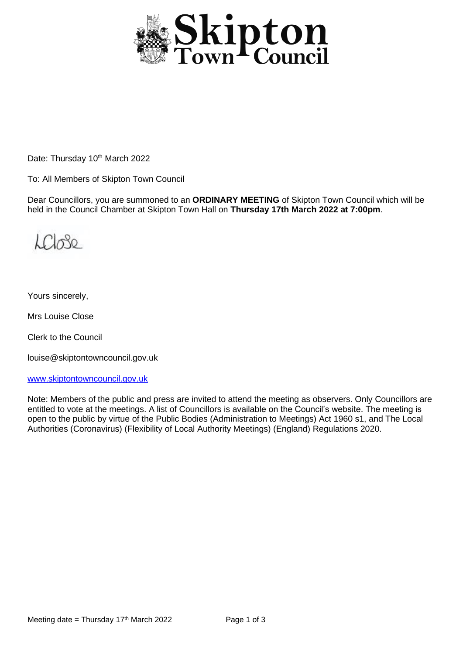

Date: Thursday 10<sup>th</sup> March 2022

To: All Members of Skipton Town Council

Dear Councillors, you are summoned to an **ORDINARY MEETING** of Skipton Town Council which will be held in the Council Chamber at Skipton Town Hall on **Thursday 17th March 2022 at 7:00pm**.

 $L(T_{\alpha})$ 

Yours sincerely,

Mrs Louise Close

Clerk to the Council

louise@skiptontowncouncil.gov.uk

[www.skiptontowncouncil.gov.uk](http://www.skiptontowncouncil.gov.uk/)

Note: Members of the public and press are invited to attend the meeting as observers. Only Councillors are entitled to vote at the meetings. A list of Councillors is available on the Council's website. The meeting is open to the public by virtue of the Public Bodies (Administration to Meetings) Act 1960 s1, and The Local Authorities (Coronavirus) (Flexibility of Local Authority Meetings) (England) Regulations 2020.

j.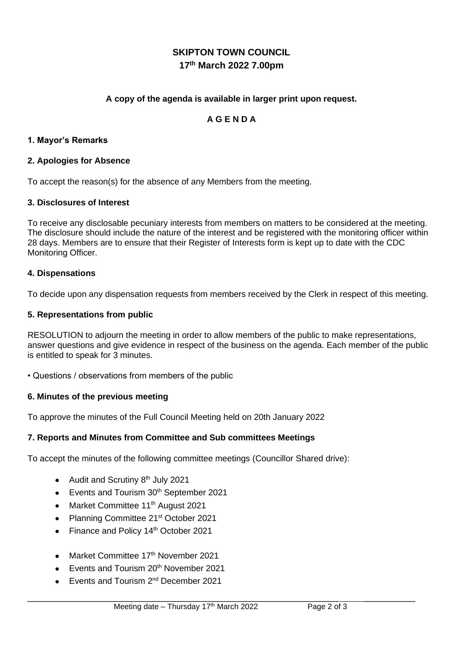# **SKIPTON TOWN COUNCIL 17 th March 2022 7.00pm**

## **A copy of the agenda is available in larger print upon request.**

## **A G E N D A**

## **1. Mayor's Remarks**

## **2. Apologies for Absence**

To accept the reason(s) for the absence of any Members from the meeting.

## **3. Disclosures of Interest**

To receive any disclosable pecuniary interests from members on matters to be considered at the meeting. The disclosure should include the nature of the interest and be registered with the monitoring officer within 28 days. Members are to ensure that their Register of Interests form is kept up to date with the CDC Monitoring Officer.

#### **4. Dispensations**

To decide upon any dispensation requests from members received by the Clerk in respect of this meeting.

## **5. Representations from public**

RESOLUTION to adjourn the meeting in order to allow members of the public to make representations, answer questions and give evidence in respect of the business on the agenda. Each member of the public is entitled to speak for 3 minutes.

• Questions / observations from members of the public

#### **6. Minutes of the previous meeting**

To approve the minutes of the Full Council Meeting held on 20th January 2022

## **7. Reports and Minutes from Committee and Sub committees Meetings**

To accept the minutes of the following committee meetings (Councillor Shared drive):

- Audit and Scrutiny  $8<sup>th</sup>$  July 2021
- $\bullet$  Events and Tourism 30<sup>th</sup> September 2021
- Market Committee 11<sup>th</sup> August 2021
- Planning Committee 21<sup>st</sup> October 2021
- Finance and Policy 14<sup>th</sup> October 2021
- Market Committee 17<sup>th</sup> November 2021
- Events and Tourism 20<sup>th</sup> November 2021
- Events and Tourism 2<sup>nd</sup> December 2021